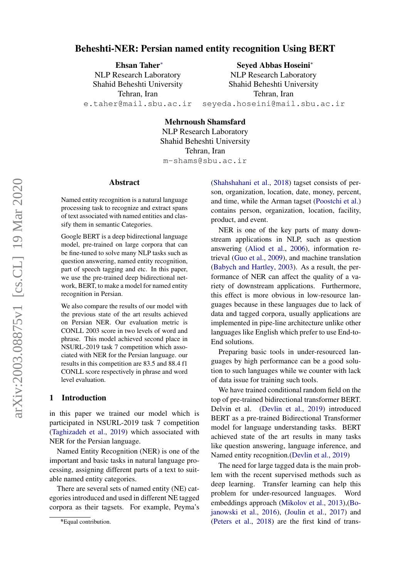# Beheshti-NER: Persian named entity recognition Using BERT

Ehsan Taher<sup>∗</sup> NLP Research Laboratory Shahid Beheshti University Tehran, Iran e.taher@mail.sbu.ac.ir Seyed Abbas Hoseini<sup>∗</sup>

NLP Research Laboratory Shahid Beheshti University Tehran, Iran seyeda.hoseini@mail.sbu.ac.ir

Mehrnoush Shamsfard

NLP Research Laboratory Shahid Beheshti University Tehran, Iran m-shams@sbu.ac.ir

#### Abstract

Named entity recognition is a natural language processing task to recognize and extract spans of text associated with named entities and classify them in semantic Categories.

Google BERT is a deep bidirectional language model, pre-trained on large corpora that can be fine-tuned to solve many NLP tasks such as question answering, named entity recognition, part of speech tagging and etc. In this paper, we use the pre-trained deep bidirectional network, BERT, to make a model for named entity recognition in Persian.

We also compare the results of our model with the previous state of the art results achieved on Persian NER. Our evaluation metric is CONLL 2003 score in two levels of word and phrase. This model achieved second place in NSURL-2019 task 7 competition which associated with NER for the Persian language. our results in this competition are 83.5 and 88.4 f1 CONLL score respectively in phrase and word level evaluation.

### 1 Introduction

in this paper we trained our model which is participated in NSURL-2019 task 7 competition [\(Taghizadeh et al.,](#page-5-0) [2019\)](#page-5-0) which associated with NER for the Persian language.

Named Entity Recognition (NER) is one of the important and basic tasks in natural language processing, assigning different parts of a text to suitable named entity categories.

There are several sets of named entity (NE) categories introduced and used in different NE tagged corpora as their tagsets. For example, Peyma's [\(Shahshahani et al.,](#page-5-1) [2018\)](#page-5-1) tagset consists of person, organization, location, date, money, percent, and time, while the Arman tagset [\(Poostchi et al.\)](#page-5-2) contains person, organization, location, facility, product, and event.

NER is one of the key parts of many downstream applications in NLP, such as question answering [\(Aliod et al.,](#page-4-0) [2006\)](#page-4-0), information retrieval [\(Guo et al.,](#page-5-3) [2009\)](#page-5-3), and machine translation [\(Babych and Hartley,](#page-5-4) [2003\)](#page-5-4). As a result, the performance of NER can affect the quality of a variety of downstream applications. Furthermore, this effect is more obvious in low-resource languages because in these languages due to lack of data and tagged corpora, usually applications are implemented in pipe-line architecture unlike other languages like English which prefer to use End-to-End solutions.

Preparing basic tools in under-resourced languages by high performance can be a good solution to such languages while we counter with lack of data issue for training such tools.

We have trained conditional random field on the top of pre-trained bidirectional transformer BERT. Delvin et al. [\(Devlin et al.,](#page-5-5) [2019\)](#page-5-5) introduced BERT as a pre-trained Bidirectional Transformer model for language understanding tasks. BERT achieved state of the art results in many tasks like question answering, language inference, and Named entity recognition.[\(Devlin et al.,](#page-5-5) [2019\)](#page-5-5)

The need for large tagged data is the main problem with the recent supervised methods such as deep learning. Transfer learning can help this problem for under-resourced languages. Word embeddings approach [\(Mikolov et al.,](#page-5-6) [2013\)](#page-5-6),[\(Bo](#page-5-7)[janowski et al.,](#page-5-7) [2016\)](#page-5-7), [\(Joulin et al.,](#page-5-8) [2017\)](#page-5-8) and [\(Peters et al.,](#page-5-9) [2018\)](#page-5-9) are the first kind of trans-

<sup>∗</sup> \*Equal contribution.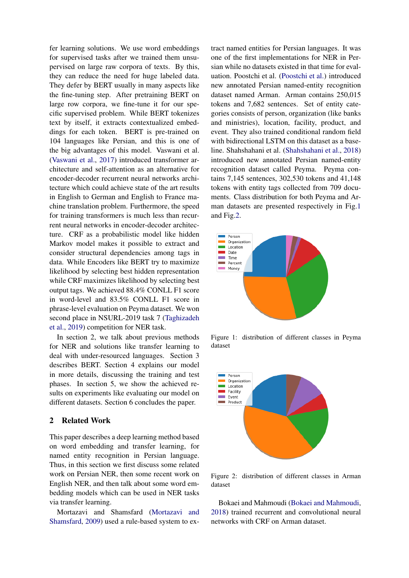fer learning solutions. We use word embeddings for supervised tasks after we trained them unsupervised on large raw corpora of texts. By this, they can reduce the need for huge labeled data. They defer by BERT usually in many aspects like the fine-tuning step. After pretraining BERT on large row corpora, we fine-tune it for our specific supervised problem. While BERT tokenizes text by itself, it extracts contextualized embeddings for each token. BERT is pre-trained on 104 languages like Persian, and this is one of the big advantages of this model. Vaswani et al. [\(Vaswani et al.,](#page-5-10) [2017\)](#page-5-10) introduced transformer architecture and self-attention as an alternative for encoder-decoder recurrent neural networks architecture which could achieve state of the art results in English to German and English to France machine translation problem. Furthermore, the speed for training transformers is much less than recurrent neural networks in encoder-decoder architecture. CRF as a probabilistic model like hidden Markov model makes it possible to extract and consider structural dependencies among tags in data. While Encoders like BERT try to maximize likelihood by selecting best hidden representation while CRF maximizes likelihood by selecting best output tags. We achieved 88.4% CONLL F1 score in word-level and 83.5% CONLL F1 score in phrase-level evaluation on Peyma dataset. We won second place in NSURL-2019 task 7 [\(Taghizadeh](#page-5-0) [et al.,](#page-5-0) [2019\)](#page-5-0) competition for NER task.

In section 2, we talk about previous methods for NER and solutions like transfer learning to deal with under-resourced languages. Section 3 describes BERT. Section 4 explains our model in more details, discussing the training and test phases. In section 5, we show the achieved results on experiments like evaluating our model on different datasets. Section 6 concludes the paper.

## 2 Related Work

This paper describes a deep learning method based on word embedding and transfer learning, for named entity recognition in Persian language. Thus, in this section we first discuss some related work on Persian NER, then some recent work on English NER, and then talk about some word embedding models which can be used in NER tasks via transfer learning.

Mortazavi and Shamsfard [\(Mortazavi and](#page-5-11) [Shamsfard,](#page-5-11) [2009\)](#page-5-11) used a rule-based system to extract named entities for Persian languages. It was one of the first implementations for NER in Persian while no datasets existed in that time for evaluation. Poostchi et al. [\(Poostchi et al.\)](#page-5-2) introduced new annotated Persian named-entity recognition dataset named Arman. Arman contains 250,015 tokens and 7,682 sentences. Set of entity categories consists of person, organization (like banks and ministries), location, facility, product, and event. They also trained conditional random field with bidirectional LSTM on this dataset as a baseline. Shahshahani et al. [\(Shahshahani et al.,](#page-5-1) [2018\)](#page-5-1) introduced new annotated Persian named-entity recognition dataset called Peyma. Peyma contains 7,145 sentences, 302,530 tokens and 41,148 tokens with entity tags collected from 709 documents. Class distribution for both Peyma and Arman datasets are presented respectively in Fig[.1](#page-1-0) and Fig[.2.](#page-1-1)

<span id="page-1-0"></span>

Figure 1: distribution of different classes in Peyma dataset

<span id="page-1-1"></span>

Figure 2: distribution of different classes in Arman dataset

Bokaei and Mahmoudi [\(Bokaei and Mahmoudi,](#page-5-12) [2018\)](#page-5-12) trained recurrent and convolutional neural networks with CRF on Arman dataset.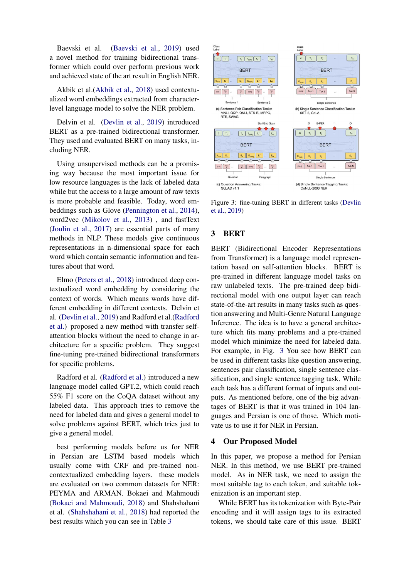Baevski et al. [\(Baevski et al.,](#page-5-13) [2019\)](#page-5-13) used a novel method for training bidirectional transformer which could over perform previous work and achieved state of the art result in English NER.

Akbik et al.[\(Akbik et al.,](#page-4-1) [2018\)](#page-4-1) used contextualized word embeddings extracted from characterlevel language model to solve the NER problem.

Delvin et al. [\(Devlin et al.,](#page-5-5) [2019\)](#page-5-5) introduced BERT as a pre-trained bidirectional transformer. They used and evaluated BERT on many tasks, including NER.

Using unsupervised methods can be a promising way because the most important issue for low resource languages is the lack of labeled data while but the access to a large amount of raw texts is more probable and feasible. Today, word embeddings such as Glove [\(Pennington et al.,](#page-5-14) [2014\)](#page-5-14), word2vec [\(Mikolov et al.,](#page-5-6) [2013\)](#page-5-6) , and fastText [\(Joulin et al.,](#page-5-8) [2017\)](#page-5-8) are essential parts of many methods in NLP. These models give continuous representations in n-dimensional space for each word which contain semantic information and features about that word.

Elmo [\(Peters et al.,](#page-5-9) [2018\)](#page-5-9) introduced deep contextualized word embedding by considering the context of words. Which means words have different embedding in different contexts. Delvin et al. [\(Devlin et al.,](#page-5-5) [2019\)](#page-5-5) and Radford et al.[\(Radford](#page-5-15) [et al.\)](#page-5-15) proposed a new method with transfer selfattention blocks without the need to change in architecture for a specific problem. They suggest fine-tuning pre-trained bidirectional transformers for specific problems.

Radford et al. [\(Radford et al.\)](#page-5-15) introduced a new language model called GPT.2, which could reach 55% F1 score on the CoQA dataset without any labeled data. This approach tries to remove the need for labeled data and gives a general model to solve problems against BERT, which tries just to give a general model.

best performing models before us for NER in Persian are LSTM based models which usually come with CRF and pre-trained noncontextualized embedding layers. these models are evaluated on two common datasets for NER: PEYMA and ARMAN. Bokaei and Mahmoudi [\(Bokaei and Mahmoudi,](#page-5-12) [2018\)](#page-5-12) and Shahshahani et al. [\(Shahshahani et al.,](#page-5-1) [2018\)](#page-5-1) had reported the best results which you can see in Table [3](#page-3-0)

<span id="page-2-0"></span>

Figure 3: fine-tuning BERT in different tasks [\(Devlin](#page-5-5) [et al.,](#page-5-5) [2019\)](#page-5-5)

# 3 BERT

BERT (Bidirectional Encoder Representations from Transformer) is a language model representation based on self-attention blocks. BERT is pre-trained in different language model tasks on raw unlabeled texts. The pre-trained deep bidirectional model with one output layer can reach state-of-the-art results in many tasks such as question answering and Multi-Genre Natural Language Inference. The idea is to have a general architecture which fits many problems and a pre-trained model which minimize the need for labeled data. For example, in Fig. [3](#page-2-0) You see how BERT can be used in different tasks like question answering, sentences pair classification, single sentence classification, and single sentence tagging task. While each task has a different format of inputs and outputs. As mentioned before, one of the big advantages of BERT is that it was trained in 104 languages and Persian is one of those. Which motivate us to use it for NER in Persian.

## 4 Our Proposed Model

In this paper, we propose a method for Persian NER. In this method, we use BERT pre-trained model. As in NER task, we need to assign the most suitable tag to each token, and suitable tokenization is an important step.

While BERT has its tokenization with Byte-Pair encoding and it will assign tags to its extracted tokens, we should take care of this issue. BERT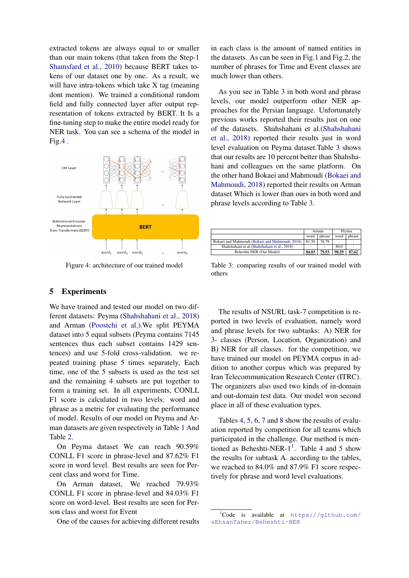extracted tokens are always equal to or smaller than our main tokens (that taken from the Step-1 [Shamsfard et al.,](#page-5-16) [2010\)](#page-5-16) because BERT takes tokens of our dataset one by one. As a result, we will have intra-tokens which take X tag (meaning dont mention). We trained a conditional random field and fully connected layer after output representation of tokens extracted by BERT. It Is a fine-tuning step to make the entire model ready for NER task. You can see a schema of the model in Fig[.4](#page-3-1) .

<span id="page-3-1"></span>

Figure 4: architecture of our trained model

# 5 Experiments

We have trained and tested our model on two different datasets: Peyma [\(Shahshahani et al.,](#page-5-1) [2018\)](#page-5-1) and Arman [\(Poostchi et al.\)](#page-5-2).We split PEYMA dataset into 5 equal subsets (Peyma contains 7145 sentences thus each subset contains 1429 sentences) and use 5-fold cross-validation. we repeated training phase 5 times separately, Each time, one of the 5 subsets is used as the test set and the remaining 4 subsets are put together to form a training set. In all experiments, CONLL F1 score is calculated in two levels: word and phrase as a metric for evaluating the performance of model. Results of our model on Peyma and Arman datasets are given respectively in Table [1](#page-4-2) And Table [2.](#page-4-3)

On Peyma dataset We can reach 90.59% CONLL F1 score in phrase-level and 87.62% F1 score in word level. Best results are seen for Percent class and worst for Time.

On Arman dataset, We reached 79.93% CONLL F1 score in phrase-level and 84.03% F1 score on word-level. Best results are seen for Person class and worst for Event

One of the causes for achieving different results

in each class is the amount of named entities in the datasets. As can be seen in Fig[.1](#page-1-0) and Fig[.2,](#page-1-1) the number of phrases for Time and Event classes are much lower than others.

As you see in Table [3](#page-3-0) in both word and phrase levels, our model outperform other NER approaches for the Persian language. Unfortunately previous works reported their results just on one of the datasets. Shahshahani et al.[\(Shahshahani](#page-5-1) [et al.,](#page-5-1) [2018\)](#page-5-1) reported their results just in word level evaluation on Peyma dataset.Table [3](#page-3-0) shows that our results are 10 percent better than Shahshahani and colleagues on the same platform. On the other hand Bokaei and Mahmoudi [\(Bokaei and](#page-5-12) [Mahmoudi,](#page-5-12) [2018\)](#page-5-12) reported their results on Arman dataset Which is lower than ours in both word and phrase levels according to Table [3.](#page-3-0)

<span id="page-3-0"></span>

|                                                 |       | Arman  |                          | Pevma  |
|-------------------------------------------------|-------|--------|--------------------------|--------|
|                                                 | word  | phrase | word                     | phrase |
| Bokaei and Mahmoudi (Bokaei and Mahmoudi, 2018) | 81.50 | 76.79  | $\overline{\phantom{0}}$ |        |
| Shahshahani et al. (Shahshahani et al., 2018)   |       |        | 80.0                     |        |
| Beheshti-NER (Our Model)                        | 84.03 | 79.93  | 90.59                    | 87.62  |

Table 3: comparing results of our trained model with others

The results of NSURL task-7 competition is reported in two levels of evaluation, namely word and phrase levels for two subtasks: A) NER for 3- classes (Person, Location, Organization) and B) NER for all classes. for the competition, we have trained our model on PEYMA corpus in addition to another corpus which was prepared by Iran Telecommunication Research Center (ITRC). The organizers also used two kinds of in-domain and out-domain test data. Our model won second place in all of these evaluation types.

Tables [4,](#page-4-4) [5,](#page-4-5) [6,](#page-4-6) [7](#page-4-7) and [8](#page-4-8) show the results of evaluation reported by competition for all teams which participated in the challenge. Our method is mentioned as Beheshti-NER- $1^1$  $1^1$ . Table [4](#page-4-4) and [5](#page-4-5) show the results for subtask A. according to the tables, we reached to 84.0% and 87.9% F1 score respectively for phrase and word level evaluations.

<span id="page-3-2"></span> ${}^{1}$ Code is available at [https://github.com/](https://github.com/sEhsanTaher/Beheshti-NER) [sEhsanTaher/Beheshti-NER](https://github.com/sEhsanTaher/Beheshti-NER)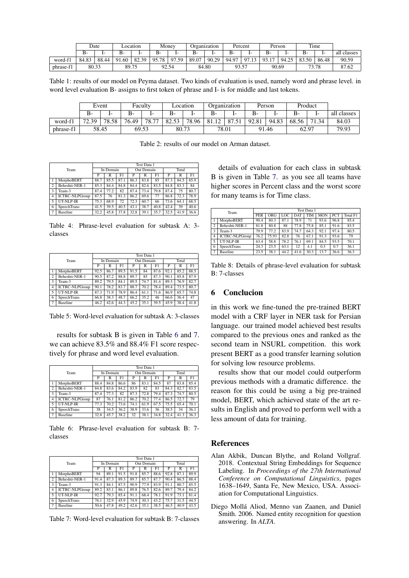<span id="page-4-2"></span>

|           |       | Date  | ocation    |       | Money |       | Organization |       | Percent |                            | Person    |       | Time  |       |             |
|-----------|-------|-------|------------|-------|-------|-------|--------------|-------|---------|----------------------------|-----------|-------|-------|-------|-------------|
|           | В-    |       | В-         |       | в-    |       | <b>B-</b>    |       | D-      | . .                        | <b>B-</b> | . .   | ь-    |       | all classes |
| word-t.   | 84.83 | 88.44 | 1.60<br>91 | 82.39 | 95.78 | 97.59 | 89.07        | 90.29 | 94.97   | $\Omega$<br>1 <sub>2</sub> | 93.17     | 94.25 | 83.50 | 86.48 | 90.59       |
| phrase-f1 | 80.33 |       | 89.75      |       |       | 92.54 |              | 84.80 | 93.57   |                            | 90.69     |       | 73.78 |       | 87.62       |

Table 1: results of our model on Peyma dataset. Two kinds of evaluation is used, namely word and phrase level. in word level evaluation B- assigns to first token of phrase and I- is for middle and last tokens.

<span id="page-4-3"></span>

|           | Event<br>Faculty |       | Location |       | Organization |       | Person |     | Product |       |       |                |             |
|-----------|------------------|-------|----------|-------|--------------|-------|--------|-----|---------|-------|-------|----------------|-------------|
|           | В-               |       | В-       |       | В-           | . –   | В-     | . . | $B-$    |       | $B-$  | $1-$           | all classes |
| word-f1   | 72.30            | 78.58 | 76.49    | 78.77 | 82.53        | 78.96 | 81.12  | 87  | 92.81   | 94.83 | 68.56 | $\sim$<br>1.34 | 84.03       |
| phrase-f1 | 69.53<br>58.45   |       | 80.73    |       | 78.01        |       | 91.46  |     | 62.97   |       | 79.93 |                |             |

Table 2: results of our model on Arman dataset.

<span id="page-4-4"></span>

|                |                       |      | Test Data 1 |      |      |            |      |       |      |      |  |  |  |
|----------------|-----------------------|------|-------------|------|------|------------|------|-------|------|------|--|--|--|
|                | Team                  |      | In Domain   |      |      | Out Domain |      | Total |      |      |  |  |  |
|                |                       | P    | R           | F1   | P    | R          | F1   | P     | R    | F1   |  |  |  |
|                | MorphoBERT            | 88.7 | 85.5        | 87.1 | 86.3 | 83.8       | 85   | 87.3  | 84.5 | 85.9 |  |  |  |
| $\overline{c}$ | Beheshti-NER-1        | 85.3 | 84.4        | 84.8 | 84.4 | 82.6       | 83.5 | 84.8  | 83.3 | 84   |  |  |  |
| 3              | Team-3                | 87.4 | 77.2        | 82   | 87.4 | 73.4       | 79.8 | 87.4  | 75   | 80.7 |  |  |  |
| $\overline{4}$ | <b>ICTRC-NLPGroup</b> | 87.5 | 76          | 81.3 | 86.2 | 69.6       | 77   | 86.8  | 72.3 | 78.9 |  |  |  |
| 5              | UT-NLP-IR             | 75.3 | 68.9        | 72   | 72.3 | 60.7       | 66   | 73.6  | 64.1 | 68.5 |  |  |  |
| 6              | SpeechTrans           | 41.5 | 39.5        | 40.5 | 43.1 | 38.7       | 40.8 | 42.4  | 39   | 40.6 |  |  |  |
| $\overline{7}$ | <b>Baseline</b>       | 32.2 | 45.8        | 37.8 | 32.8 | 39.1       | 35.7 | 32.5  | 41.9 | 36.6 |  |  |  |

Table 4: Phrase-level evaluation for subtask A: 3 classes

<span id="page-4-5"></span>

|                |                       |      | Test Data 1 |      |      |            |      |       |      |      |  |  |  |
|----------------|-----------------------|------|-------------|------|------|------------|------|-------|------|------|--|--|--|
|                | Team                  |      | In Domain   |      |      | Out Domain |      | Total |      |      |  |  |  |
|                |                       | P    | R           | F1   | P    | R          | F1   | P     | R    | F1   |  |  |  |
|                | MorphoBERT            | 92.5 | 86.7        | 89.5 | 91.5 | 84         | 87.6 | 92.1  | 85.2 | 88.5 |  |  |  |
| $\overline{c}$ | Beheshti-NER-1        | 90.5 | 87.2        | 88.8 | 89.7 | 85         | 87.3 | 90.1  | 85.8 | 87.9 |  |  |  |
| 3              | Team-3                | 89.2 | 79.5        | 84.1 | 89.5 | 74.7       | 81.4 | 89.3  | 76.9 | 82.7 |  |  |  |
| $\overline{4}$ | <b>ICTRC-NLPGroup</b> | 90.1 | 78.2        | 83.7 | 88.7 | 70.2       | 78.4 | 89.4  | 73.5 | 80.7 |  |  |  |
| 5              | UT-NLP-IR             | 87.3 | 71.9        | 78.9 | 86.4 | 61.1       | 71.6 | 86.9  | 65.7 | 74.8 |  |  |  |
| 6              | SpeechTrans           | 66.8 | 38.3        | 48.7 | 66.2 | 35.2       | 46   | 66.6  | 36.4 | 47   |  |  |  |
|                | <b>Baseline</b>       | 46.2 | 42.6        | 44.3 | 45.2 | 35.1       | 39.5 | 45.9  | 38.4 | 41.8 |  |  |  |

Table 5: Word-level evaluation for subtask A: 3-classes

results for subtask B is given in Table [6](#page-4-6) and [7.](#page-4-7) we can achieve 83.5% and 88.4% F1 score respectively for phrase and word level evaluation.

<span id="page-4-6"></span>

|                |                       |      | Test Data 1 |      |      |            |      |       |      |      |  |  |  |
|----------------|-----------------------|------|-------------|------|------|------------|------|-------|------|------|--|--|--|
|                | Team                  |      | In Domain   |      |      | Out Domain |      | Total |      |      |  |  |  |
|                |                       | P    | R           | F1   | P    | R          | F1   | P     | R    | F1   |  |  |  |
|                | MorphoBERT            | 88.4 | 84.8        | 86.6 | 86   | 83.1       | 84.5 | 87    | 83.8 | 85.4 |  |  |  |
| $\overline{c}$ | Beheshti-NER-1        | 84.8 | 83.6        | 84.2 | 83.9 | 82         | 83   | 84.3  | 82.7 | 83.5 |  |  |  |
| 3              | Team-3                | 87.4 | 77.3        | 82   | 87.3 | 72.8       | 79.4 | 87.3  | 74.7 | 80.5 |  |  |  |
| 4              | <b>ICTRC-NLPGroup</b> | 87   | 76.1        | 81.2 | 86.2 | 70.2       | 77.4 | 86.5  | 72.7 | 79   |  |  |  |
| 5              | UT-NLP-IR             | 77.3 | 70.2        | 73.6 | 74.1 | 61.9       | 67.5 | 75.5  | 65.4 | 70.1 |  |  |  |
| 6              | <b>SpeechTrans</b>    | 38   | 34.5        | 36.2 | 38.9 | 33.6       | 36   | 38.5  | 34   | 36.1 |  |  |  |
|                | <b>Baseline</b>       | 32.8 | 45.7        | 38.2 | 32   | 38.1       | 34.8 | 32.4  | 41.3 | 36.3 |  |  |  |

Table 6: Phrase-level evaluation for subtask B: 7 classes

<span id="page-4-7"></span>

|                |                       |      |           |      |      | Test Data 1 |      |       |      |      |  |
|----------------|-----------------------|------|-----------|------|------|-------------|------|-------|------|------|--|
|                | Team                  |      | In Domain |      |      | Out Domain  |      | Total |      |      |  |
|                |                       | P    | R         | F1   | P    | R           | F1   | P     | R    | F1   |  |
|                | MorphoBERT            | 94   | 89.1      | 91.5 | 91.8 | 85.7        | 88.6 | 92.8  | 87.1 | 89.9 |  |
| $\overline{c}$ | Beheshti-NER-1        | 91.4 | 87.3      | 89.3 | 89.7 | 85.7        | 87.7 | 90.4  | 86.5 | 88.4 |  |
| 3              | Team-3                | 91.3 | 84.1      | 87.5 | 90.9 | 77.9        | 83.9 | 91.1  | 80.7 | 85.5 |  |
| $\overline{4}$ | <b>ICTRC-NLPGroup</b> | 89.2 | 83.1      | 86.1 | 89.8 | 76.5        | 82.6 | 89.7  | 79.4 | 84.2 |  |
| 5              | UT-NLP-IR             | 92.7 | 79.3      | 85.4 | 91.1 | 68.4        | 78.1 | 91.9  | 73.1 | 81.4 |  |
| 6              | <b>SpeechTrans</b>    | 76.1 | 32.9      | 45.9 | 74.9 | 30.3        | 43.2 | 75.7  | 31.5 | 44.5 |  |
|                | <b>Baseline</b>       | 50.6 | 47.8      | 49.2 | 42.6 | 35.1        | 38.5 | 46.5  | 40.9 | 43.5 |  |

Table 7: Word-level evaluation for subtask B: 7-classes

details of evaluation for each class in subtask B is given in Table [7.](#page-4-7) as you see all teams have higher scores in Percent class and the worst score for many teams is for Time class.

<span id="page-4-8"></span>

|                 | Team                  |      | Test Data 1<br><b>PER</b> |      |            |            |            |            |          |  |  |  |  |
|-----------------|-----------------------|------|---------------------------|------|------------|------------|------------|------------|----------|--|--|--|--|
|                 |                       |      | <b>ORG</b>                | LOC  | <b>DAT</b> | <b>TIM</b> | <b>MON</b> | <b>PCT</b> | Total F1 |  |  |  |  |
|                 | MorphoBERT            | 90.4 | 80.3                      | 87.1 | 78.9       | 71         | 93.6       | 96.8       | 85.4     |  |  |  |  |
| $\overline{c}$  | Beheshti-NER-1        | 81.8 | 80.8                      | 88   | 77.8       | 75.8       | 85.1       | 91.6       | 83.5     |  |  |  |  |
| 3               | Team-3                | 79.9 | 77.2                      | 83.9 | 74.7       | 64.3       | 92.1       | 97.4       | 80.5     |  |  |  |  |
| $\overline{4}$  | <b>ICTRC-NLPGroup</b> | 76.2 | 75.93                     | 82.8 | 76         | 67.1       | 91.3       | 93.6       | 79       |  |  |  |  |
| 5               | UT-NLP-IR             | 63.4 | 58.8                      | 78.2 | 76.1       | 69.1       | 84.5       | 93.5       | 70.1     |  |  |  |  |
| 6               | <b>SpeechTrans</b>    | 24.3 | 23.5                      | 63.1 | 12         | 4.1        | 0.3        | 0.7        | 36.1     |  |  |  |  |
| $7\phantom{.0}$ | <b>Baseline</b>       | 23.5 | 38.1                      | 44.2 | 41.6       | 30.3       | 13.7       | 36.6       | 36.3     |  |  |  |  |

Table 8: Details of phrase-level evaluation for subtask B: 7-classes

## 6 Conclucion

in this work we fine-tuned the pre-trained BERT model with a CRF layer in NER task for Persian language. our trained model achieved best results compared to the previous ones and ranked as the second team in NSURL competition. this work present BERT as a good transfer learning solution for solving low resource problems.

results show that our model could outperform previous methods with a dramatic difference. the reason for this could be using a big pre-trained model, BERT, which achieved state of the art results in English and proved to perform well with a less amount of data for training.

#### References

- <span id="page-4-1"></span>Alan Akbik, Duncan Blythe, and Roland Vollgraf. 2018. Contextual String Embeddings for Sequence Labeling. In *Proceedings of the 27th International Conference on Computational Linguistics*, pages 1638–1649, Santa Fe, New Mexico, USA. Association for Computational Linguistics.
- <span id="page-4-0"></span>Diego Molla Aliod, Menno van Zaanen, and Daniel ´ Smith. 2006. Named entity recognition for question answering. In *ALTA*.